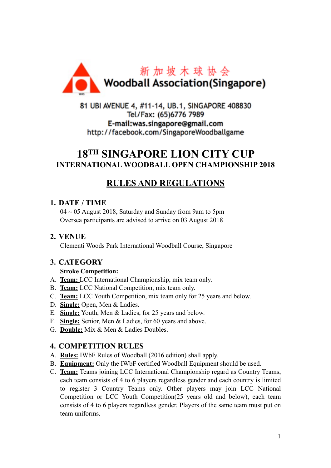

81 UBI AVENUE 4, #11-14, UB.1, SINGAPORE 408830 Tel/Fax: (65)6776 7989 E-mail:was.singapore@gmail.com http://facebook.com/SingaporeWoodballgame

# **18TH SINGAPORE LION CITY CUP INTERNATIONAL WOODBALL OPEN CHAMPIONSHIP 2018**

# **RULES AND REGULATIONS**

### **1. DATE / TIME**

 $04 \sim 05$  August 2018, Saturday and Sunday from 9am to 5pm Oversea participants are advised to arrive on 03 August 2018

### **2. VENUE**

Clementi Woods Park International Woodball Course, Singapore

### **3. CATEGORY**

#### **Stroke Competition:**

- A. **Team:** LCC International Championship, mix team only.
- B. **Team:** LCC National Competition, mix team only.
- C. **Team:** LCC Youth Competition, mix team only for 25 years and below.
- D. **Single:** Open, Men & Ladies.
- E. **Single:** Youth, Men & Ladies, for 25 years and below.
- F. **Single:** Senior, Men & Ladies, for 60 years and above.
- G. **Double:** Mix & Men & Ladies Doubles.

### **4. COMPETITION RULES**

- A. **Rules:** IWbF Rules of Woodball (2016 edition) shall apply.
- B. **Equipment:** Only the IWbF certified Woodball Equipment should be used.
- C. **Team:** Teams joining LCC International Championship regard as Country Teams, each team consists of 4 to 6 players regardless gender and each country is limited to register 3 Country Teams only. Other players may join LCC National Competition or LCC Youth Competition(25 years old and below), each team consists of 4 to 6 players regardless gender. Players of the same team must put on team uniforms.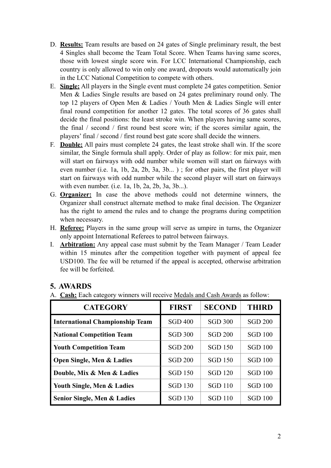- D. **Results:** Team results are based on 24 gates of Single preliminary result, the best 4 Singles shall become the Team Total Score. When Teams having same scores, those with lowest single score win. For LCC International Championship, each country is only allowed to win only one award, dropouts would automatically join in the LCC National Competition to compete with others.
- E. **Single:** All players in the Single event must complete 24 gates competition. Senior Men & Ladies Single results are based on 24 gates preliminary round only. The top 12 players of Open Men & Ladies / Youth Men & Ladies Single will enter final round competition for another 12 gates. The total scores of 36 gates shall decide the final positions: the least stroke win. When players having same scores, the final / second / first round best score win; if the scores similar again, the players' final / second / first round best gate score shall decide the winners.
- F. **Double:** All pairs must complete 24 gates, the least stroke shall win. If the score similar, the Single formula shall apply. Order of play as follow: for mix pair, men will start on fairways with odd number while women will start on fairways with even number (i.e. 1a, 1b, 2a, 2b, 3a, 3b... ) ; for other pairs, the first player will start on fairways with odd number while the second player will start on fairways with even number. (i.e. 1a, 1b, 2a, 2b, 3a, 3b...).
- G. **Organizer:** In case the above methods could not determine winners, the Organizer shall construct alternate method to make final decision. The Organizer has the right to amend the rules and to change the programs during competition when necessary.
- H. **Referee:** Players in the same group will serve as umpire in turns, the Organizer only appoint International Referees to patrol between fairways.
- I. **Arbitration:** Any appeal case must submit by the Team Manager / Team Leader within 15 minutes after the competition together with payment of appeal fee USD100. The fee will be returned if the appeal is accepted, otherwise arbitration fee will be forfeited.

### **5. AWARDS**

A. **Cash:** Each category winners will receive Medals and Cash Awards as follow:

| <b>CATEGORY</b>                        | <b>FIRST</b>   | <b>SECOND</b>  | <b>THIRD</b>   |
|----------------------------------------|----------------|----------------|----------------|
| <b>International Championship Team</b> | <b>SGD 400</b> | <b>SGD 300</b> | <b>SGD 200</b> |
| <b>National Competition Team</b>       | <b>SGD 300</b> | <b>SGD 200</b> | <b>SGD 100</b> |
| <b>Youth Competition Team</b>          | <b>SGD 200</b> | <b>SGD 150</b> | <b>SGD 100</b> |
| <b>Open Single, Men &amp; Ladies</b>   | <b>SGD 200</b> | <b>SGD 150</b> | <b>SGD 100</b> |
| Double, Mix & Men & Ladies             | <b>SGD 150</b> | <b>SGD 120</b> | <b>SGD 100</b> |
| Youth Single, Men & Ladies             | <b>SGD 130</b> | <b>SGD 110</b> | <b>SGD 100</b> |
| Senior Single, Men & Ladies            | <b>SGD 130</b> | <b>SGD 110</b> | <b>SGD 100</b> |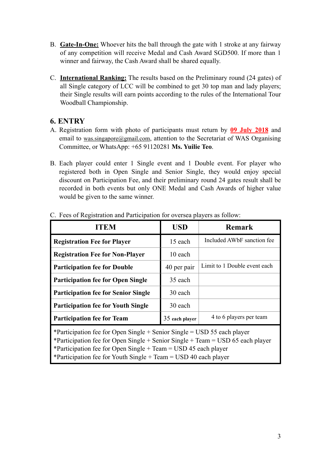- B. **Gate-In-One:** Whoever hits the ball through the gate with 1 stroke at any fairway of any competition will receive Medal and Cash Award SGD500. If more than 1 winner and fairway, the Cash Award shall be shared equally.
- C. **International Ranking:** The results based on the Preliminary round (24 gates) of all Single category of LCC will be combined to get 30 top man and lady players; their Single results will earn points according to the rules of the International Tour Woodball Championship.

#### **6. ENTRY**

- A. Registration form with photo of participants must return by **09 July 2018** and email to was singapore@gmail.com, attention to the Secretariat of WAS Organising Committee, or WhatsApp: +65 91120281 **Ms. Yuilie Teo**.
- B. Each player could enter 1 Single event and 1 Double event. For player who registered both in Open Single and Senior Single, they would enjoy special discount on Participation Fee, and their preliminary round 24 gates result shall be recorded in both events but only ONE Medal and Cash Awards of higher value would be given to the same winner.

| ſEM                                                                                                                                                                                                                                                                                                                       | USD            | <b>Remark</b>                          |  |  |  |
|---------------------------------------------------------------------------------------------------------------------------------------------------------------------------------------------------------------------------------------------------------------------------------------------------------------------------|----------------|----------------------------------------|--|--|--|
| <b>Registration Fee for Player</b>                                                                                                                                                                                                                                                                                        | 15 each        | Included AW <sub>bF</sub> sanction fee |  |  |  |
| <b>Registration Fee for Non-Player</b>                                                                                                                                                                                                                                                                                    | 10 each        |                                        |  |  |  |
| <b>Participation fee for Double</b>                                                                                                                                                                                                                                                                                       | 40 per pair    | Limit to 1 Double event each           |  |  |  |
| <b>Participation fee for Open Single</b>                                                                                                                                                                                                                                                                                  | 35 each        |                                        |  |  |  |
| <b>Participation fee for Senior Single</b>                                                                                                                                                                                                                                                                                | 30 each        |                                        |  |  |  |
| <b>Participation fee for Youth Single</b>                                                                                                                                                                                                                                                                                 | 30 each        |                                        |  |  |  |
| <b>Participation fee for Team</b>                                                                                                                                                                                                                                                                                         | 35 each player | 4 to 6 players per team                |  |  |  |
| *Participation fee for Open Single + Senior Single = $\text{USD} 55$ each player<br>*Participation fee for Open Single + Senior Single + Team = USD 65 each player<br>*Participation fee for Open Single + Team = $\text{USD}$ 45 each player<br>*Participation fee for Youth Single + Team = $\text{USD}$ 40 each player |                |                                        |  |  |  |

C. Fees of Registration and Participation for oversea players as follow: